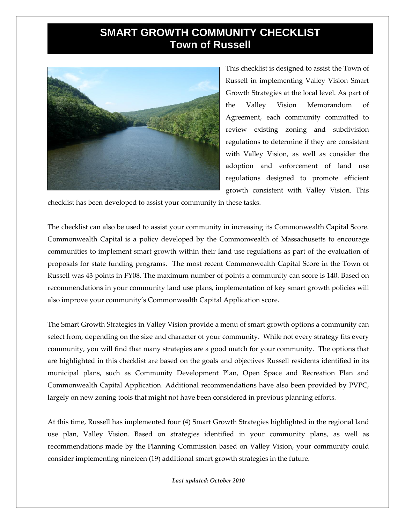## **SMART GROWTH COMMUNITY CHECKLIST Town of Russell**



This checklist is designed to assist the Town of Russell in implementing Valley Vision Smart Growth Strategies at the local level. As part of the Valley Vision Memorandum of Agreement, each community committed to review existing zoning and subdivision regulations to determine if they are consistent with Valley Vision, as well as consider the adoption and enforcement of land use regulations designed to promote efficient growth consistent with Valley Vision. This

checklist has been developed to assist your community in these tasks.

The checklist can also be used to assist your community in increasing its Commonwealth Capital Score. Commonwealth Capital is a policy developed by the Commonwealth of Massachusetts to encourage communities to implement smart growth within their land use regulations as part of the evaluation of proposals for state funding programs. The most recent Commonwealth Capital Score in the Town of Russell was 43 points in FY08. The maximum number of points a community can score is 140. Based on recommendations in your community land use plans, implementation of key smart growth policies will also improve your community's Commonwealth Capital Application score.

The Smart Growth Strategies in Valley Vision provide a menu of smart growth options a community can select from, depending on the size and character of your community. While not every strategy fits every community, you will find that many strategies are a good match for your community. The options that are highlighted in this checklist are based on the goals and objectives Russell residents identified in its municipal plans, such as Community Development Plan, Open Space and Recreation Plan and Commonwealth Capital Application. Additional recommendations have also been provided by PVPC, largely on new zoning tools that might not have been considered in previous planning efforts.

At this time, Russell has implemented four (4) Smart Growth Strategies highlighted in the regional land use plan, Valley Vision. Based on strategies identified in your community plans, as well as recommendations made by the Planning Commission based on Valley Vision, your community could consider implementing nineteen (19) additional smart growth strategies in the future.

*Last updated: October 2010*